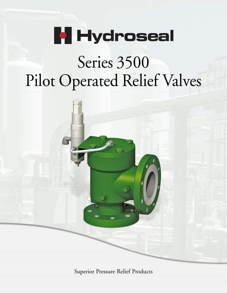

# Series 3500 Pilot Operated Relief Valves



Superior Pressure Relief Products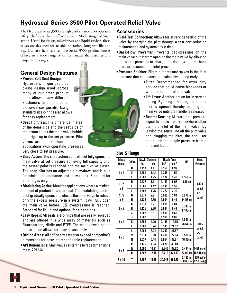## **Hydroseal Series 3500 Pilot Operated Relief Valve**

The Hydroseal Series 3500 is a high performance pilot operated safety relief valve that is offered in both Modulating and Snap action. Useful for air, gas, mixed phase and liquid services, these valves are designed for reliable operation, long seat life and easy low cost field service. The Series 3500 product line is offered in a wide range of orifices, materials, pressures and temperature ranges.

### **General Design Features • Proven Soft Seat Design:**

Hydroseal's unique captured o-ring design used across many of our other product lines allows many different Elastomers to be offered at the lowest cost possible. Using standard size o-rings also allows for easy replacement.

- **Seat Tightness:** The difference in area of the dome side and the seat side of the piston keeps the main valve bubble tight right up to the set pressure. Pilot valves are an excellent choice for applications with operating pressures very close to set pressure.
- **Snap Action:** The snap action control pilot fully opens the main valve at set pressure achieving full capacity until the reseat point is reached and the main valve closes. The snap pilot has an adjustable blowdown and is built for minimal maintenance and easy repair. Standard for air and gas only.
- **Modulating Action:**Ideal for applications where a minimal amount of product loss is critical. The modulating control pilot gradually opens and closes the main valve to relieve only the excess pressure in a system. It will fully open the main valve before 10% overpressure is reached. Standard for liquid and optional for air and gas.
- **Easy Repair:** All seals are o-rings that are easily replaced and are offered in a wide array of materials such as Fluorocarbon, Nitrile and PTFE. The main valve's bolted construction allows for easy disassembly.
- **Orifice Areas:** All orifice sizes meet or exceed competitor's dimensions for easy interchangeable replacement.
- **API Dimensions:** Main valve centerline to face dimensions meet API 526.

## **Accessories**

- **Field Test Connection:** Allows for in service testing of the valve by charging the pilot through a test port reducing maintenance and system down time.
- **Back-Flow Preventer:** Prevents backpressure on the main valve outlet from opening the main valve by allowing the outlet pressure to charge the dome when the back pressure exceeds the inlet pressure.
- **Pressure Snubber:** Filters out pressure spikes in the inlet pressure that can cause the main valve to pop early.
	- **Filter:** Recommended for extra dirty service that could cause blockages or wear to the control pilot valve.
	- **Lift Lever:** Another option for in service testing. By lifting a handle, the control pilot is opened thereby opening the main valve until the handle is released.
	- **Remote Sensing:**Allows the set pressure signal to come from somewhere other than the inlet of the main valve. By leaving the sense line off the pilot valve and plugging the pitot, the end user can plumb the supply pressure from a different location.

## Size & Range

| <b>Inlet x</b> |                |       | <b>Nozzle Diameter</b> | <b>Nozzle Area</b> |                 |                         | Max.                      |  |  |  |
|----------------|----------------|-------|------------------------|--------------------|-----------------|-------------------------|---------------------------|--|--|--|
| <b>Outlet</b>  | <b>Orifice</b> | in.   | cm                     | in.2               | cm <sup>2</sup> | Lift                    | Pressure                  |  |  |  |
|                | D              | 0.437 | 1.11                   | 0.150              | 0.97            |                         |                           |  |  |  |
| 1x2            | E              | 0.560 | 1.42                   | 0.246              | 1.59            |                         |                           |  |  |  |
|                | F              | 0.688 | 1.75                   | 0.372              | 2.40            | $0.350$ in.             |                           |  |  |  |
|                | D              | 0.437 | 1.11                   | 0.150              | 0.97            | 8.89 cm                 |                           |  |  |  |
| 11/2           | E              | 0.560 | 1.42                   | 0.246              | 1.59            |                         | 6170                      |  |  |  |
| x 2            | F              | 0.688 | 1.75                   | 0.372              | 2.40            |                         | psi(g)                    |  |  |  |
| 11/2           | G              | 0.871 | 2.21                   | 0.596              | 3.84            | $0.572$ in.             | 425.5                     |  |  |  |
| x 3            | H              | 1.125 | 2.86                   | 0.994              | 6.41            | 14.53 cm                | bar(g)                    |  |  |  |
|                | G              | 0.871 | 2.21                   | 0.596              | 3.84            |                         |                           |  |  |  |
| 2x3            | H              | 1.125 | 2.86                   | 0.994              | 6.41            | $0.703$ in.<br>17.86cm  |                           |  |  |  |
|                | J              | 1.382 | 3.51                   | 1.500              | 9.68            |                         |                           |  |  |  |
|                | J              | 1.382 | 3.51                   | 1.500              | 9.68            |                         |                           |  |  |  |
| 3x4            | K              | 1.653 | 4.20                   | 2.146              | 13.85           | $1.049$ in.             |                           |  |  |  |
|                | L              | 2.063 | 5.24                   | 3.343              | 21.57           | 26.64 cm                | 3705                      |  |  |  |
| $4 \times 6$   | L              | 2.063 | 5.24                   | 3.343              | 21.57           |                         | psi(g)                    |  |  |  |
|                | M              | 2.314 | 5.88                   | 4.206              | 27.14           | $1.590$ in.             | 255.5                     |  |  |  |
|                | N              | 2.537 | 6.44                   | 5.054              | 32.61           | 40.39cm                 | bar(g)                    |  |  |  |
|                | P              | 3.125 | 7.94                   | 7.670              | 49.48           |                         |                           |  |  |  |
| 6 x 8          | O              | 4.060 | 10.31                  | 12.946             | 83.52           | 2.484 in.               | 1480 psi(g)               |  |  |  |
|                | R              | 4.882 | 12.40                  | 18.719             | 120.77          | 63.09 cm                | 102.1 <sub>bar</sub> (g)  |  |  |  |
| $8 \times 10$  | T              | 6.257 | 15.89                  | 30.748             | 198.38          | $3.183$ in.<br>80.85 cm | 900 psi(g)<br>62.1 bar(g) |  |  |  |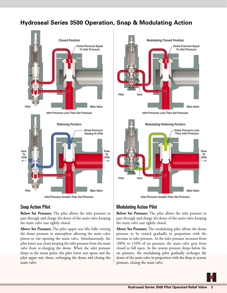## **Hydroseal Series 3500 Operation, Snap & Modulating Action**



## Snap Action Pilot

**Below Set Pressure:** The pilot allows the inlet pressure to pass through and charge the dome of the main valve keeping the main valve seat tightly closed.

**Above Set Pressure:** The pilot upper seat lifts fully venting the dome pressure to atmosphere allowing the main valve piston to rise opening the main valve. Simultaneously, the pilot lower seat closes keeping the inlet pressure from the main valve from re-charging the dome. When the inlet pressure drops to the reseat point, the pilot lower seat opens and the pilot upper seat closes, recharging the dome and closing the main valve.







## Modulating Action Pilot

**Below Set Pressure:** The pilot allows the inlet pressure to pass through and charge the dome of the main valve keeping the main valve seat tightly closed.

**Above Set Pressure:** The modulating pilot allows the dome pressure to be vented gradually in proportion with the increase in inlet pressure. As the inlet pressure increases from 100% to 110% of set pressure, the main valve goes from closed to full open. As the system pressure drops below the set pressure, the modulating pilot gradually recharges the dome of the main valve in proportion with the drop in system pressure, closing the main valve.

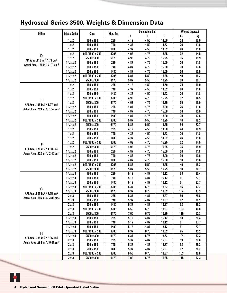# **Hydroseal Series 3500, Weights & Dimension Data**

|                                               |                       |                |          | Dimensions (in.) |      | Weight (approx.) |      |      |
|-----------------------------------------------|-----------------------|----------------|----------|------------------|------|------------------|------|------|
| <b>Orifice</b>                                | <b>Inlet x Outlet</b> | Class          | Max. Set | A                | B    | C                | lbs. | kg   |
|                                               | 1x2                   | 150 x 150      | 285      | 4.12             | 4.50 | 14.50            | 24   | 10.9 |
|                                               | 1x2                   | 300 x 150      | 740      | 4.37             | 4.50 | 14.62            | 26   | 11.8 |
|                                               | 1x2                   | 600 x 150      | 1480     | 4.37             | 4.50 | 14.62            | 26   | 11.8 |
|                                               | 1x2                   | 900/1500 x 300 | 3705     | 4.93             | 4.75 | 15.25            | 32   | 14.5 |
| D                                             | 1x2                   | 2500 x 300     | 6170     | 4.93             | 4.75 | 15.25            | 35   | 15.9 |
| API Area .110 in. 2 / .71 cm <sup>2</sup>     | 11/2 x 2              | 150 x 150      | 285      | 4.87             | 4.75 | 15.00            | 26   | 11.8 |
| Actual Area .150 in. 2 / .97 cm 2             | 11/2 x 2              | 300 x 150      | 740      | 4.87             | 4.75 | 15.00            | 30   | 13.6 |
|                                               | 11/2 x 2              | 600 x 150      | 1480     | 4.87             | 4.75 | 15.00            | 30   | 13.6 |
|                                               | 11/2 x 2              | 900/1500 x 300 | 3705     | 5.87             | 5.50 | 16.25            | 40   | 18.2 |
|                                               | 11/2 x 2              | 2500 x 300     | 6170     | 5.87             | 5.50 | 16.25            | 50   | 22.7 |
|                                               | 1x2                   | 150 x 150      | 285      | 4.12             | 4.50 | 14.50            | 24   | 10.9 |
|                                               | 1x2                   | 300 x 150      | 740      | 4.37             | 4.50 | 14.62            | 26   | 11.8 |
|                                               | 1x2                   | 600 x 150      | 1480     | 4.37             | 4.50 | 14.62            | 26   | 11.8 |
|                                               | 1x2                   | 900/1500 x 300 | 3705     | 4.93             | 4.75 | 15.25            | 32   | 14.5 |
| E                                             | 1x2                   | 2500 x 300     | 6170     | 4.93             | 4.75 | 15.25            | 35   | 15.9 |
| API Area .196 in. 2 / 1.27 cm 2               | 11/2 x 2              | 150 x 150      | 285      | 4.87             | 4.75 | 15.00            | 26   | 11.8 |
| Actual Area .249 in. 2 / 1.59 cm 2            | 11/2 x 2              | 300 x 150      | 740      | 4.87             | 4.75 | 15.00            | 30   | 13.6 |
|                                               | 11/2 x 2              | 600 x 150      | 1480     | 4.87             | 4.75 | 15.00            | 30   | 13.6 |
|                                               | 11/2 x 2              | 900/1500 x 300 | 3705     | 5.87             | 5.50 | 16.25            | 40   | 18.2 |
|                                               | 11/2 x 2              | 2500 x 300     | 6170     | 5.87             | 5.50 | 16.25            | 50   | 22.7 |
|                                               | 1x2                   | 150 x 150      | 285      | 4.12             | 4.50 | 14.50            | 24   | 10.9 |
|                                               | 1x2                   | 300 x 150      | 740      | 4.37             | 4.50 | 14.62            | 26   | 11.8 |
|                                               | 1x2                   | 600 x 150      | 1480     | 4.37             | 4.50 | 14.62            | 26   | 11.8 |
|                                               | 1x2                   | 900/1500 x 300 | 3705     | 4.93             | 4.75 | 15.25            | 32   | 14.5 |
| F                                             | 1x2                   | 2500 x 300     | 6170     | 4.93             | 4.75 | 15.25            | 35   | 15.9 |
| API Area .370 in. 2 / 1.98 cm 2               | 11/2 x 2              | 150 x 150      | 285      | 4.87             | 4.75 | 15.00            | 26   | 11.8 |
| Actual Area .372 in 2 / 2.40 cm <sup>2</sup>  | 11/2 x 2              | 300 x 150      | 740      | 4.87             | 4.75 | 15.00            | 30   | 13.6 |
|                                               | 11/2 x 2              | 600 x 150      | 1480     | 4.87             | 4.75 | 15.00            | 30   | 13.6 |
|                                               | 11/2 x 2              | 900/1500 x 300 | 3705     | 5.87             | 5.50 | 16.25            | 40   | 18.2 |
|                                               | 11/2 x 2              | 2500 x 300     | 6170     | 5.87             | 5.50 | 16.25            | 50   | 22.7 |
|                                               | 11/2 x 3              | 150 x 150      | 285      | 5.12             | 4.87 | 16.12            | 58   | 26.4 |
|                                               | 11/2 x 3              | 300 x 150      | 740      | 5.12             | 4.87 | 16.12            | 61   | 27.7 |
|                                               | 11/2 x 3              | 600 x 150      | 1480     | 5.12             | 4.87 | 16.12            | 61   | 27.7 |
|                                               | 11/2 x 3              | 900/1500 x 300 | 3705     | 6.37             | 6.75 | 18.62            | 95   | 43.2 |
| G                                             | 11/2 x 3              | 2500 x 300     | 6170     | 6.37             | 6.75 | 18.62            | 104  | 47.3 |
| API Area .503 in. 2 / 3.25 cm 2               | 2x3                   | 150 x 150      | 285      | 5.37             | 4.87 | 16.87            | 59   | 26.8 |
| Actual Area .596 in 2 / 3.84 cm <sup>2</sup>  | 2x3                   | 300 x 150      | 740      | 5.37             | 4.87 | 16.87            | 62   | 28.2 |
|                                               | $2 \times 3$          | 600 x 150      | 1480     | 5.37             | 4.87 | 16.87            | 62   | 28.2 |
|                                               | $2 \times 3$          | 900/1500 x 300 | 3705     | 6.56             | 6.75 | 18.87            | 103  | 46.8 |
|                                               | $2 \times 3$          | 2500 x 300     | 6170     | 7.00             | 6.75 | 19.25            | 115  | 52.3 |
|                                               | 11/2 x 3              | 150 x 150      | 285      | 5.12             | 4.87 | 16.12            | 58   | 26.4 |
|                                               | 11/2 x 3              | 300 x 150      | 740      | 5.12             | 4.87 | 16.12            | 61   | 27.7 |
|                                               | 11/2 x 3              | 600 x 150      | 1480     | 5.12             | 4.87 | 16.12            | 61   | 27.7 |
|                                               | 11/2 x 3              | 900/1500 x 300 | 3705     | 6.37             | 6.75 | 18.62            | 95   | 43.2 |
| H                                             | 11/2 x 3              | 2500 x 300     | 6170     | 6.37             | 6.75 | 18.62            | 104  | 47.3 |
| API Area .785 in.2 / 5.06 cm2                 | $2 \times 3$          | 150 x 150      | 285      | 5.37             | 4.87 | 16.87            | 59   | 26.8 |
| Actual Area .994 in. 2 / 6.41 cm <sup>2</sup> | $2 \times 3$          | 300 x 150      | 740      | 5.37             | 4.87 | 16.87            | 62   | 28.2 |
|                                               | $2 \times 3$          | 600 x 150      | 1480     | 5.37             | 4.87 | 16.87            | 62   | 28.2 |
|                                               | $2 \times 3$          | 900/1500 x 300 | 3705     | 6.56             | 6.75 | 18.87            | 103  | 46.8 |
|                                               | $2 \times 3$          | 2500 x 300     | 6170     | 7.00             | 6.75 | 19.25            | 115  | 52.3 |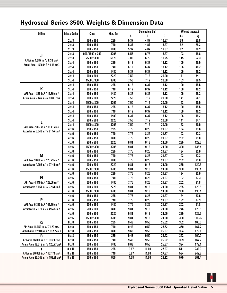# **Hydroseal Series 3500, Weights & Dimension Data**

|                                               |                       |                  |          | Dimensions (in.) |       | Weight (approx.) |      |        |
|-----------------------------------------------|-----------------------|------------------|----------|------------------|-------|------------------|------|--------|
| <b>Orifice</b>                                | <b>Inlet x Outlet</b> | Class            | Max. Set | А                | B     | c                | lbs. | kg     |
|                                               | $2 \times 3$          | 150 x 150        | 285      | 5.37             | 4.87  | 16.87            | 59   | 26.8   |
|                                               | $2 \times 3$          | 300 x 150        | 740      | 5.37             | 4.87  | 16.87            | 62   | 28.2   |
|                                               | 2 x 3                 | 600 x 150        | 1480     | 5.37             | 4.87  | 16.87            | 62   | 28.2   |
|                                               | $2 \times 3$          | 900/1500 x 300   | 3705     | 6.56             | 6.75  | 18.87            | 103  | 46.8   |
| J                                             | 2 x 3                 | 2500 x 300       | 6170     | 7.00             | 6.75  | 19.25            | 115  | 52.3   |
| API Area 1.287 in. 2 / 8.30 cm 2              | 3x4                   | 150 x 150        | 285      | 6.12             | 6.37  | 18.12            | 100  | 45.5   |
| Actual Area 1.500 in 2 / 9.68 cm <sup>2</sup> | 3 x 4                 | $300 \times 150$ | 740      | 6.12             | 6.37  | 18.12            | 106  | 48.2   |
|                                               | 3 x 4                 | 600 x 150        | 1480     | 6.37             | 6.37  | 18.12            | 106  | 48.2   |
|                                               | 3 x 4                 | $900 \times 300$ | 2220     | 7.50             | 7.12  | 20.00            | 141  | 64.1   |
|                                               | 3x4                   | 1500 x 300       | 3705     | 7.50             | 7.12  | 20.00            | 153  | 69.5   |
|                                               | 3x4                   | 150 x 150        | 285      | 6.12             | 6.37  | 18.12            | 100  | 45.5   |
| К                                             | 3 x 4                 | 300 x 150        | 740      | 6.12             | 6.37  | 18.12            | 106  | 48.2   |
| API Area 1.838 in 2 / 11.86 cm <sup>2</sup>   | 3 x 4                 | 600 x 150        | 1480     | 6.37             | 6.37  | 18.12            | 106  | 48.2   |
| Actual Area 2.146 in. 2 / 13.85 cm 2          | 3 x 4                 | 900 x 300        | 2220     | 7.50             | 7.12  | 20.00            | 141  | 64.1   |
|                                               | 3 x 4                 | 1500 x 300       | 3705     | 7.50             | 7.12  | 20.00            | 153  | 69.5   |
|                                               | 3x4                   | 150 x 150        | 285      | 6.12             | 6.37  | 18.12            | 100  | 45.5   |
|                                               | 3 x 4                 | 300 x 150        | 740      | 6.12             | 6.37  | 18.12            | 106  | 48.2   |
|                                               | 3 x 4                 | 600 x 150        | 1480     | 6.37             | 6.37  | 18.12            | 106  | 48.2   |
|                                               | 3 x 4                 | $900 \times 300$ | 2220     | 7.50             | 7.12  | 20.00            | 141  | 64.1   |
| L                                             | 3 x 4                 | 1500 x 300       | 3705     | 7.50             | 7.12  | 20.00            | 153  | 69.5   |
| API Area 2.853 in. 2 / 18.41 cm 2             | $4 \times 6$          | 150 x 150        | 285      | 7.75             | 8.25  | 21.37            | 184  | 83.6   |
| Actual Area 3.343 in 2 / 21.57 cm 2           | 4 x 6                 | 300 x 150        | 740      | 7.75             | 8.25  | 21.37            | 192  | 87.3   |
|                                               | 4 x 6                 | 600 x 150        | 1480     | 7.75             | 8.25  | 21.37            | 202  | 91.8   |
|                                               | 4 x 6                 | $900 \times 300$ | 2220     | 9.81             | 9.18  | 24.00            | 285  | 129.5  |
|                                               | $4 \times 6$          | 1500 x 300       | 3705     | 9.81             | 9.18  | 24.00            | 300  | 136.4  |
|                                               | 4 x 6                 | 150 x 150        | 285      | 7.75             | 8.25  | 21.37            | 184  | 83.6   |
| M                                             | 4 x 6                 | 300 x 150        | 740      | 7.75             | 8.25  | 21.37            | 192  | 87.3   |
| API Area 3.600 in 2 / 23.23 cm <sup>2</sup>   | 4 x 6                 | 600 x 150        | 1480     | 7.75             | 8.25  | 21.37            | 202  | 91.8   |
| Actual Area 4.206 in. 2 / 27.41 cm 2          | 4 x 6                 | 900 x 300        | 2220     | 9.81             | 9.18  | 24.00            | 285  | 129.5  |
|                                               | 4 x 6                 | 1500 x 300       | 3705     | 9.81             | 9.18  | 24.00            | 300  | 136.4  |
|                                               | 4 x 6                 | 150 x 150        | 285      | 7.75             | 8.25  | 21.37            | 184  | 83.6   |
| N                                             | 4 x 6                 | 300 x 150        | 740      | 7.75             | 8.25  | 21.37            | 192  | 87.3   |
| API Area 4.340 in. 2 / 28.00 cm 2             | 4 x 6                 | 600 x 150        | 1480     | 7.75             | 8.25  | 21.37            | 202  | 91.8   |
| Actual Area 5.054 in 2 / 32.61 cm 2           | 4 x 6                 | $900 \times 300$ | 2220     | 9.81             | 9.18  | 24.00            | 285  | 129.5  |
|                                               | 4 x 6                 | 1500 x 300       | 3705     | 9.81             | 9.18  | 24.00            | 300  | 136.4  |
|                                               | 4 x 6                 | 150 x 150        | 285      | 7.75             | 8.25  | 21.37            | 184  | 83.6   |
| P                                             | 4 x 6                 | $300 \times 150$ | 740      | 7.75             | 8.25  | 21.37            | 192  | 87.3   |
| API Area 6.380 in 2 / 41.16 cm <sup>2</sup>   | 4 x 6                 | 600 x 150        | 1480     | 7.75             | 8.25  | 21.37            | 202  | 91.8   |
| Actual Area 7.670 in. 2 / 49.48 cm 2          | 4 x 6                 | 600 x 300        | 1480     | 9.81             | 9.18  | 24.00            | 276  | 125.5  |
|                                               | 4 x 6                 | $900 \times 300$ | 2220     | 9.81             | 9.18  | 24.00            | 285  | 129.5  |
|                                               | 4 x 6                 | 1500 x 300       | 3705     | 9.81             | 9.18  | 24.00            | 300  | 136.36 |
| Q                                             | 6 x 8                 | 150 x 150        | 285      | 9.43             | 9.50  | 25.62            | 352  | 160.0  |
| API Area 11.050 in.2 / 71.29 cm <sup>2</sup>  | 6 x 8                 | $300 \times 150$ | 740      | 9.43             | 9.50  | 25.62            | 369  | 167.7  |
| Actual Area 12.946 in. 2 / 83.52 cm 2         | 6 x 8                 | 600 x 150        | 1480     | 9.68             | 9.50  | 25.87            | 394  | 179.1  |
| $\mathbf R$                                   | 6 x 8                 | 150 x 150        | 285      | 9.43             | 9.50  | 25.62            | 352  | 160.0  |
| API Area 16.000 in. 2 / 103.23 cm 2           | 6 x 8                 | $300 \times 150$ | 740      | 9.43             | 9.50  | 25.62            | 369  | 167.7  |
| Actual Area 18.719 in. 2 / 120.77 cm 2        | 6 x 8                 | 600 x 150        | 1480     | 9.68             | 9.50  | 25.87            | 394  | 179.1  |
| T                                             | 8 x 10                | 150 x 150        | 285      | 10.87            | 11.00 | 27.37            | 511  | 232.3  |
| API Area 26.000 in. 2 / 167.74 cm 2           | 8 x 10                | $300 \times 150$ | 740      | 10.87            | 11.00 | 27.37            | 534  | 242.7  |
| Actual Area 30.748 in. 2 / 198.38 cm 2        | 8 x 10                | 600 x 150        | 900      | 11.68            | 11.00 | 28.12            | 575  | 261.4  |

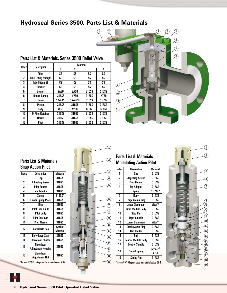## **Hydroseal Series 3500, Parts List & Materials**

| <b>Parts List &amp; Materials, Series 3500 Relief Valve</b> |                              |                 |            |       |       |  |  |
|-------------------------------------------------------------|------------------------------|-----------------|------------|-------|-------|--|--|
| Index                                                       |                              | <b>Material</b> |            |       |       |  |  |
|                                                             | <b>Description</b>           | N               | 2          | 3     | 4     |  |  |
| 1                                                           | Tube                         | SS              | SS         | SS    | SS    |  |  |
| $\overline{2}$                                              | <b>Tube Fitting Straight</b> | cs              | cs         | SS    | SS    |  |  |
| 3                                                           | <b>Tube Fitting 90</b>       | CS              | CS         | SS    | SS    |  |  |
| 4                                                           | <b>Bracket</b>               | CS              | CS         | SS    | SS    |  |  |
| 5                                                           | Bonnet                       | <b>SA36</b>     | SA36       | 316SS | 316SS |  |  |
| ĥ                                                           | <b>Return Spring</b>         | 316SS           | X750       | 316SS | X750  |  |  |
| 7                                                           | Guide                        | 17-4 PH         | 17-4 PH    | 316SS | 316SS |  |  |
| 8                                                           | <b>Piston</b>                | 316SS           | 316SS      | 316SS | 316SS |  |  |
| 9                                                           | Body                         | <b>WCB</b>      | <b>WCB</b> | CF8M  | CF8M  |  |  |
| 10                                                          | <b>0-Ring Retainer</b>       | 316SS           | 316SS      | 316SS | 316SS |  |  |
| 11                                                          | Nozzle                       | 316SS           | 316SS      | 316SS | 316SS |  |  |
| 12                                                          | <b>Pitot</b>                 | 316SS           | 316SS      | 316SS | 316SS |  |  |



## Parts List & Materials Snap Action Pilot

| Index          | Description               | <b>Material</b> |  |
|----------------|---------------------------|-----------------|--|
| 1              | Cap                       | 316SS           |  |
| $\overline{c}$ | <b>Adjusting Screw</b>    | 316SS           |  |
| 3              | <b>Pilot Bonnet</b>       | 316SS           |  |
| 4              | <b>Top Adaptor</b>        | 316SS           |  |
| 5              | Spring                    | $316SS*$        |  |
| 6              | <b>Lower Spring Plate</b> | 316SS           |  |
| 7              | Disc                      | 316SS           |  |
| 8              | <b>Pilot Disc Guide</b>   | 316SS           |  |
| 9              | <b>Pilot Body</b>         | 316SS           |  |
| 10             | <b>Pilot Seat Cap</b>     | 316SS           |  |
| 11             | <b>Pilot Nozzle</b>       | 316SS           |  |
|                | <b>Pilot Nozzle Seal</b>  | Gasket          |  |
| 12             |                           | <b>Material</b> |  |
| 13             | <b>Blowdown Seat</b>      | 316SS           |  |
| 14             | <b>Blowdown Shuttle</b>   | 316SS           |  |
| 15             | Blowdown                  | 316SS           |  |
|                | <b>Adjustment Housing</b> |                 |  |
| 16             | Blowdown                  | 316SS           |  |
|                | <b>Adjustment Nut</b>     |                 |  |
| a.             | $1 - 2 - 1$               |                 |  |

\*Inconel® X750 spring used for material codes 2 & 4.



## Parts List & Materials Modulating Action Pilot

| Index                                                | <b>Description</b>         | <b>Material</b>    |  |  |  |
|------------------------------------------------------|----------------------------|--------------------|--|--|--|
| 1                                                    | Cap                        | 316SS              |  |  |  |
| $\overline{2}$                                       | <b>Adjusting Screw</b>     | 316SS              |  |  |  |
| 3                                                    | <b>Pilot Bonnet</b>        | 316SS              |  |  |  |
| 4                                                    | <b>Top Adaptor</b>         | 316SS              |  |  |  |
| 5                                                    | Spring                     | 316SS *            |  |  |  |
| 6                                                    | Body                       | 316SS              |  |  |  |
| 7                                                    | <b>Large Clamp Ring</b>    | 316SS              |  |  |  |
| 8                                                    | <b>Upper Diaphragm</b>     | Viton <sup>®</sup> |  |  |  |
| 9                                                    | <b>Input Module Body</b>   | 316SS              |  |  |  |
| 10                                                   | <b>Stop Pin</b>            | 316SS              |  |  |  |
| 11                                                   | <b>Input Spindle</b>       | 316SS              |  |  |  |
| 12                                                   | Lower Diaphragm            | Viton®             |  |  |  |
| 13                                                   | <b>Small Clamp Ring</b>    | 316SS              |  |  |  |
| 14                                                   | <b>Ball Holder</b>         | 316SS              |  |  |  |
| 15                                                   | Ball                       | 316SS              |  |  |  |
| 16                                                   | <b>Control Module Body</b> | 316SS              |  |  |  |
| 17                                                   | <b>Control Spindle</b>     | 316SS              |  |  |  |
|                                                      |                            | Inconel®           |  |  |  |
| 18                                                   | <b>Control Spring</b>      | X750               |  |  |  |
| 19                                                   | <b>Spring Nut</b>          | 316SS              |  |  |  |
| *Inconel® X750 spring used for material codes 2 & 4. |                            |                    |  |  |  |

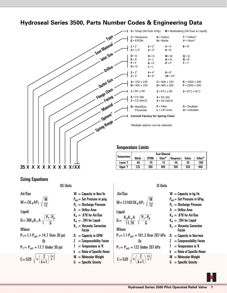## **Hydroseal Series 3500, Parts Number Codes & Engineering Data**



## Sizing Equations

US Units

 $W = CK_d AP_1$ Air/Gas Liquid **Where** M TZ  $\mathbf{Q} = 38\mathbf{K_d}\mathbf{K_v}$  A  $\sqrt{\frac{\mathbf{P_1 - P_d}}{\mathbf{G}}}$  $C = 520 \sqrt{k \left(\frac{2}{k+1}\right)} \frac{k+1}{k-1}$  $\frac{-1}{k+1}$  k-1  $P_1=1.1 P_{set} + 14.7$  Over 30 psi **Oriented**  $P_1 = P_{set} + 17.7$  Under 30 psi

 $W =$  Capacity in Ibm/hr P<sub>set</sub>= Set Pressure in psig  $P_d =$  Discharge Pressure  $A = 0$ rifice Area  $K_d = .878$  for Air/Gas  $K_d = .784$  for Liquid  $K_v = V$ iscosity Correction **Factor**  $0 =$  Capacity in GPM  $Z =$  Compressibility Factor  $T = T$ emperature in  $R$  $k =$  Ratio of Specific Heats  $M = M$ olecular Weight  $G =$  Specific Gravity

SI Units

Air/Gas  
\nW=13160 CK<sub>d</sub> AP<sub>1</sub> 
$$
\sqrt{\frac{M}{TZ}}
$$
  
\nLiquid  
\n
$$
0 = \frac{K_d K_v A}{11.78} \sqrt{\frac{P_1 - P_d}{G}}
$$

 $W$ 

 $P_1=1.1 P_{set} + 101.3$  Over 207 kPa **Oriented**  $P_1 = P_{set} + 122$  Under 207 kPa

$$
C = 520 \sqrt{k \left(\frac{2}{k+1}\right)^{\frac{k+1}{k-1}}}
$$

 $W =$  Capacity in kg/hr

- P<sub>set</sub>= Set Pressure in kPag
- $P_d =$  Discharge Pressure
- $A = 0$ rifice Area
- $K_d = .878$  for Air/Gas
- $K_d = .784$  for Liquid
- $K_v = V$ iscosity Correction Factor
- $\mathbf{Q} = \mathbf{C}$ apacity in liter/min
- $Z =$  Compressibility Factor
- $T = T$ emperature in  $K$
- $k =$  Ratio of Specific Heats
- $M = M$ olecular Weight
- $G =$  Specific Gravity